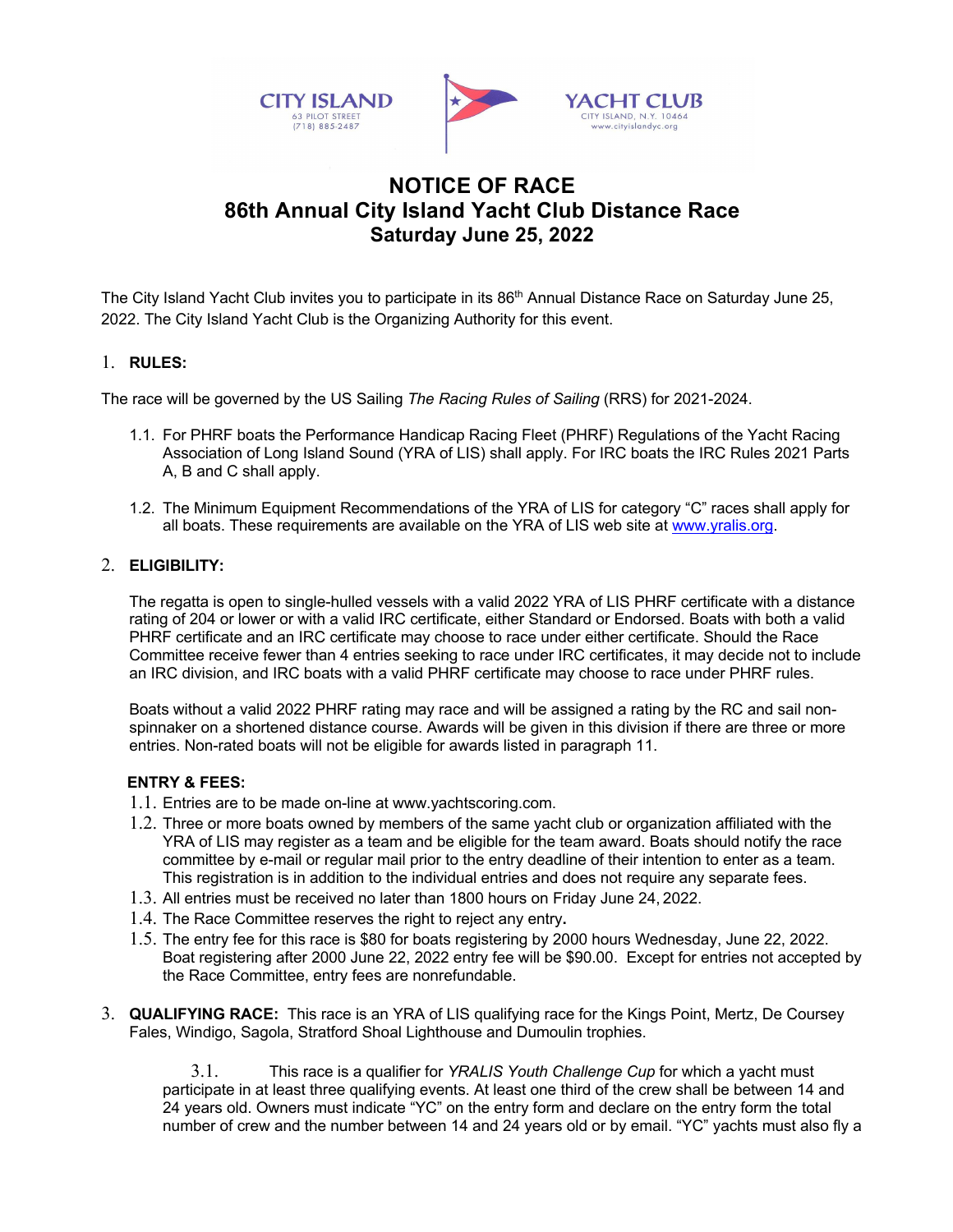

## **NOTICE OF RACE 86th Annual City Island Yacht Club Distance Race Saturday June 25, 2022**

The City Island Yacht Club invites you to participate in its 86<sup>th</sup> Annual Distance Race on Saturday June 25, 2022. The City Island Yacht Club is the Organizing Authority for this event.

## 1. **RULES:**

The race will be governed by the US Sailing *The Racing Rules of Sailing* (RRS) for 2021-2024.

- 1.1. For PHRF boats the Performance Handicap Racing Fleet (PHRF) Regulations of the Yacht Racing Association of Long Island Sound (YRA of LIS) shall apply. For IRC boats the IRC Rules 2021 Parts A, B and C shall apply.
- 1.2. The Minimum Equipment Recommendations of the YRA of LIS for category "C" races shall apply for all boats. These requirements are available on the YRA of LIS web site at www.yralis.org.

## 2. **ELIGIBILITY:**

The regatta is open to single-hulled vessels with a valid 2022 YRA of LIS PHRF certificate with a distance rating of 204 or lower or with a valid IRC certificate, either Standard or Endorsed. Boats with both a valid PHRF certificate and an IRC certificate may choose to race under either certificate. Should the Race Committee receive fewer than 4 entries seeking to race under IRC certificates, it may decide not to include an IRC division, and IRC boats with a valid PHRF certificate may choose to race under PHRF rules.

Boats without a valid 2022 PHRF rating may race and will be assigned a rating by the RC and sail nonspinnaker on a shortened distance course. Awards will be given in this division if there are three or more entries. Non-rated boats will not be eligible for awards listed in paragraph 11.

## **ENTRY & FEES:**

- 1.1. Entries are to be made on-line at www.yachtscoring.com.
- 1.2. Three or more boats owned by members of the same yacht club or organization affiliated with the YRA of LIS may register as a team and be eligible for the team award. Boats should notify the race committee by e-mail or regular mail prior to the entry deadline of their intention to enter as a team. This registration is in addition to the individual entries and does not require any separate fees.
- 1.3. All entries must be received no later than 1800 hours on Friday June 24, 2022.
- 1.4. The Race Committee reserves the right to reject any entry**.**
- 1.5. The entry fee for this race is \$80 for boats registering by 2000 hours Wednesday, June 22, 2022. Boat registering after 2000 June 22, 2022 entry fee will be \$90.00. Except for entries not accepted by the Race Committee, entry fees are nonrefundable.
- 3. **QUALIFYING RACE:** This race is an YRA of LIS qualifying race for the Kings Point, Mertz, De Coursey Fales, Windigo, Sagola, Stratford Shoal Lighthouse and Dumoulin trophies.

3.1. This race is a qualifier for *YRALIS Youth Challenge Cup* for which a yacht must participate in at least three qualifying events. At least one third of the crew shall be between 14 and 24 years old. Owners must indicate "YC" on the entry form and declare on the entry form the total number of crew and the number between 14 and 24 years old or by email. "YC" yachts must also fly a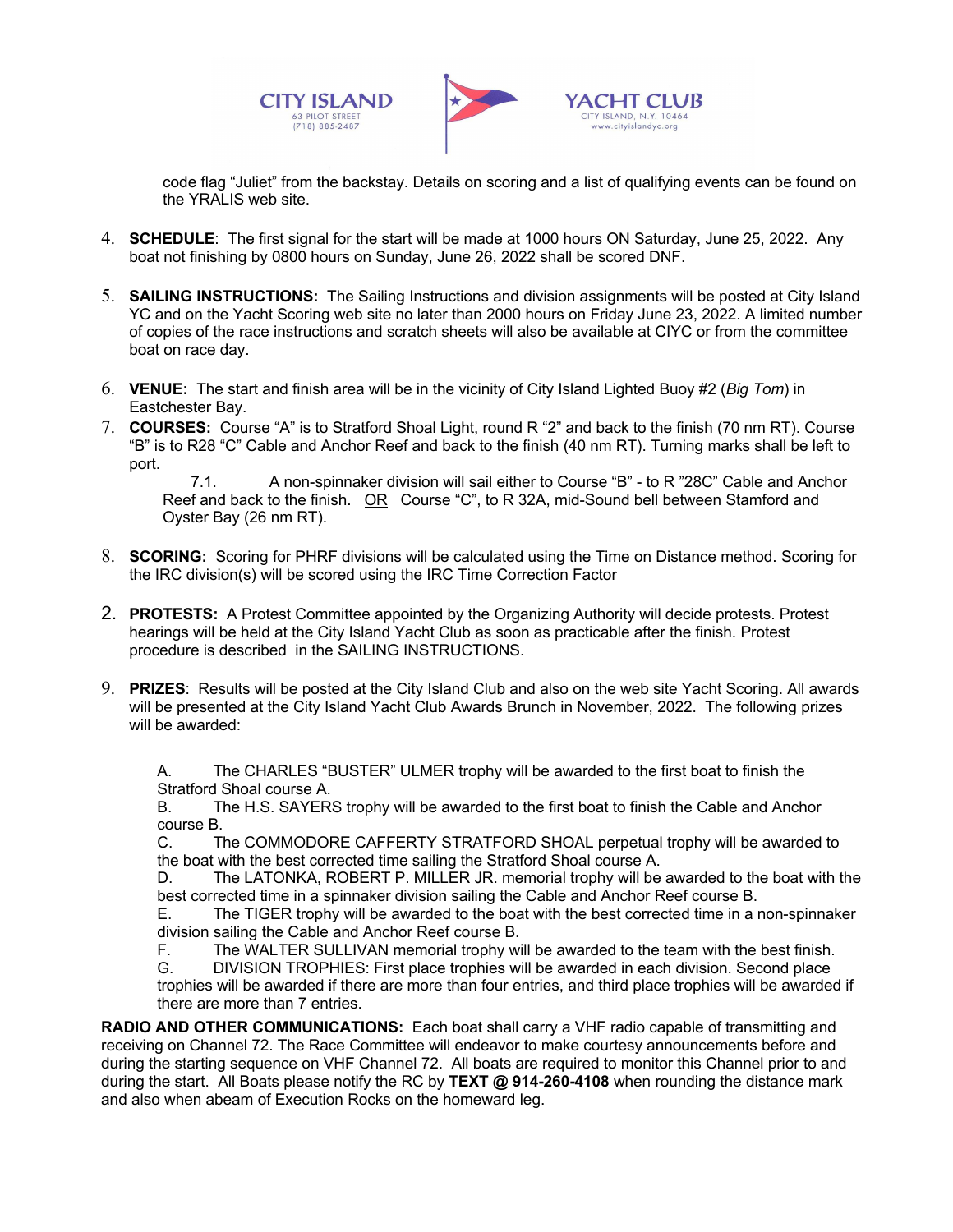



www.citvislandvc.org

code flag "Juliet" from the backstay. Details on scoring and a list of qualifying events can be found on the YRALIS web site.

- 4. **SCHEDULE**: The first signal for the start will be made at 1000 hours ON Saturday, June 25, 2022. Any boat not finishing by 0800 hours on Sunday, June 26, 2022 shall be scored DNF.
- 5. **SAILING INSTRUCTIONS:** The Sailing Instructions and division assignments will be posted at City Island YC and on the Yacht Scoring web site no later than 2000 hours on Friday June 23, 2022. A limited number of copies of the race instructions and scratch sheets will also be available at CIYC or from the committee boat on race day.
- 6. **VENUE:** The start and finish area will be in the vicinity of City Island Lighted Buoy #2 (*Big Tom*) in Eastchester Bay.
- 7. **COURSES:** Course "A" is to Stratford Shoal Light, round R "2" and back to the finish (70 nm RT). Course "B" is to R28 "C" Cable and Anchor Reef and back to the finish (40 nm RT). Turning marks shall be left to port.

7.1. A non-spinnaker division will sail either to Course "B" - to R "28C" Cable and Anchor Reef and back to the finish. OR Course "C", to R 32A, mid-Sound bell between Stamford and Oyster Bay (26 nm RT).

- 8. **SCORING:** Scoring for PHRF divisions will be calculated using the Time on Distance method. Scoring for the IRC division(s) will be scored using the IRC Time Correction Factor
- 2. **PROTESTS:** A Protest Committee appointed by the Organizing Authority will decide protests. Protest hearings will be held at the City Island Yacht Club as soon as practicable after the finish. Protest procedure is described in the SAILING INSTRUCTIONS.
- 9. **PRIZES**: Results will be posted at the City Island Club and also on the web site Yacht Scoring. All awards will be presented at the City Island Yacht Club Awards Brunch in November, 2022. The following prizes will be awarded:

A. The CHARLES "BUSTER" ULMER trophy will be awarded to the first boat to finish the Stratford Shoal course A.

B. The H.S. SAYERS trophy will be awarded to the first boat to finish the Cable and Anchor course B.

C. The COMMODORE CAFFERTY STRATFORD SHOAL perpetual trophy will be awarded to the boat with the best corrected time sailing the Stratford Shoal course A.

D. The LATONKA, ROBERT P. MILLER JR. memorial trophy will be awarded to the boat with the best corrected time in a spinnaker division sailing the Cable and Anchor Reef course B.

E. The TIGER trophy will be awarded to the boat with the best corrected time in a non-spinnaker division sailing the Cable and Anchor Reef course B.

F. The WALTER SULLIVAN memorial trophy will be awarded to the team with the best finish.<br>G. DIVISION TROPHIES: First place trophies will be awarded in each division. Second place

DIVISION TROPHIES: First place trophies will be awarded in each division. Second place trophies will be awarded if there are more than four entries, and third place trophies will be awarded if there are more than 7 entries.

**RADIO AND OTHER COMMUNICATIONS:** Each boat shall carry a VHF radio capable of transmitting and receiving on Channel 72. The Race Committee will endeavor to make courtesy announcements before and during the starting sequence on VHF Channel 72. All boats are required to monitor this Channel prior to and during the start. All Boats please notify the RC by **TEXT @ 914-260-4108** when rounding the distance mark and also when abeam of Execution Rocks on the homeward leg.